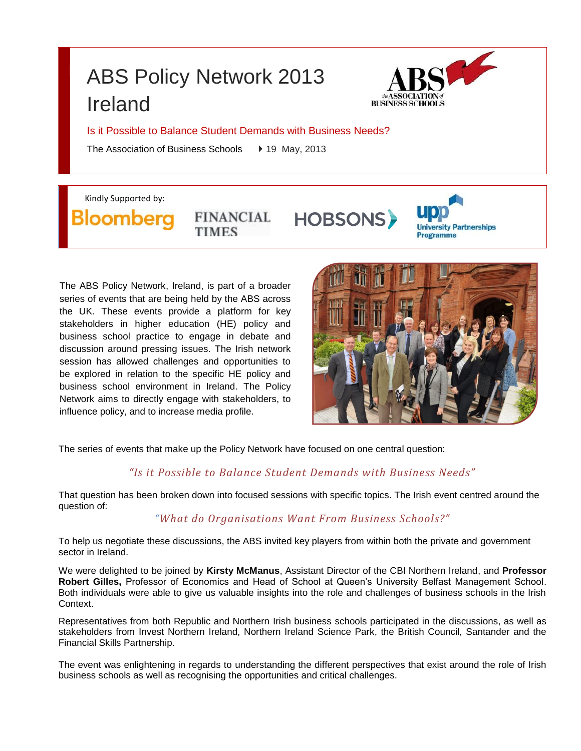# ABS Policy Network 2013 Ireland



Is it Possible to Balance Student Demands with Business Needs?

The Association of Business Schools → 19 May, 2013

Kindly Supported by:

Bloombera

**FINANCIAL TIMES** 

**HOBSONS** 



The ABS Policy Network, Ireland, is part of a broader series of events that are being held by the ABS across the UK. These events provide a platform for key stakeholders in higher education (HE) policy and business school practice to engage in debate and discussion around pressing issues. The Irish network session has allowed challenges and opportunities to be explored in relation to the specific HE policy and business school environment in Ireland. The Policy Network aims to directly engage with stakeholders, to influence policy, and to increase media profile.



The series of events that make up the Policy Network have focused on one central question:

## *"Is it Possible to Balance Student Demands with Business Needs"*

That question has been broken down into focused sessions with specific topics. The Irish event centred around the question of:

## *"What do Organisations Want From Business Schools?"*

To help us negotiate these discussions, the ABS invited key players from within both the private and government sector in Ireland.

We were delighted to be joined by **Kirsty McManus**, Assistant Director of the CBI Northern Ireland, and **Professor Robert Gilles,** Professor of Economics and Head of School at Queen's University Belfast Management School. Both individuals were able to give us valuable insights into the role and challenges of business schools in the Irish Context.

Representatives from both Republic and Northern Irish business schools participated in the discussions, as well as stakeholders from Invest Northern Ireland, Northern Ireland Science Park, the British Council, Santander and the Financial Skills Partnership.

The event was enlightening in regards to understanding the different perspectives that exist around the role of Irish business schools as well as recognising the opportunities and critical challenges.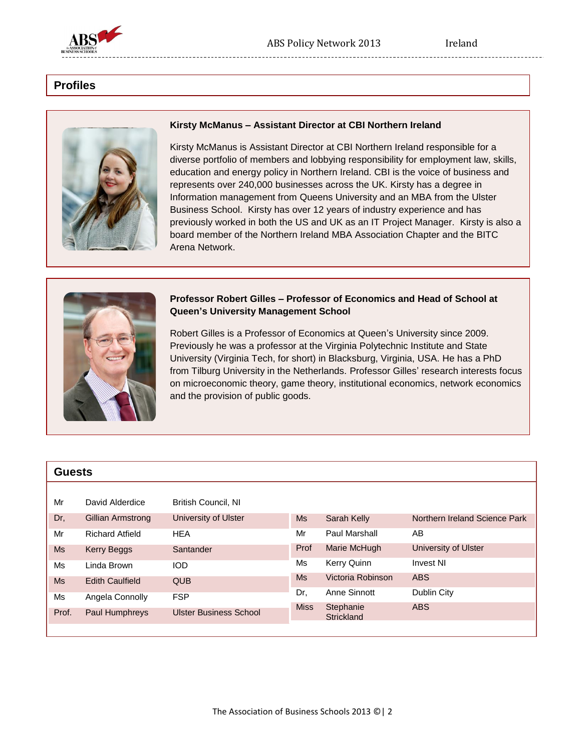

## **Profiles**



#### **Kirsty McManus – Assistant Director at CBI Northern Ireland**

Kirsty McManus is Assistant Director at CBI Northern Ireland responsible for a diverse portfolio of members and lobbying responsibility for employment law, skills, education and energy policy in Northern Ireland. CBI is the voice of business and represents over 240,000 businesses across the UK. Kirsty has a degree in Information management from Queens University and an MBA from the Ulster Business School. Kirsty has over 12 years of industry experience and has previously worked in both the US and UK as an IT Project Manager. Kirsty is also a board member of the Northern Ireland MBA Association Chapter and the BITC Arena Network.



#### **Professor Robert Gilles – Professor of Economics and Head of School at Queen's University Management School**

Robert Gilles is a Professor of Economics at Queen's University since 2009. Previously he was a professor at the Virginia Polytechnic Institute and State University (Virginia Tech, for short) in Blacksburg, Virginia, USA. He has a PhD from Tilburg University in the Netherlands. Professor Gilles' research interests focus on microeconomic theory, game theory, institutional economics, network economics and the provision of public goods.

| <b>Guests</b> |                        |                               |             |                         |                               |
|---------------|------------------------|-------------------------------|-------------|-------------------------|-------------------------------|
|               |                        |                               |             |                         |                               |
| Mr            | David Alderdice        | <b>British Council, NI</b>    |             |                         |                               |
| Dr,           | Gillian Armstrong      | University of Ulster          | <b>Ms</b>   | Sarah Kelly             | Northern Ireland Science Park |
| Mr            | <b>Richard Atfield</b> | <b>HEA</b>                    | Mr          | Paul Marshall           | AB                            |
| <b>Ms</b>     | Kerry Beggs            | Santander                     | Prof        | Marie McHugh            | University of Ulster          |
| Ms            | Linda Brown            | <b>IOD</b>                    | Ms          | <b>Kerry Quinn</b>      | <b>Invest NI</b>              |
| <b>Ms</b>     | <b>Edith Caulfield</b> | <b>QUB</b>                    | <b>Ms</b>   | Victoria Robinson       | <b>ABS</b>                    |
| Ms            | Angela Connolly        | <b>FSP</b>                    | Dr.         | Anne Sinnott            | Dublin City                   |
| Prof.         | Paul Humphreys         | <b>Ulster Business School</b> | <b>Miss</b> | Stephanie<br>Strickland | <b>ABS</b>                    |
|               |                        |                               |             |                         |                               |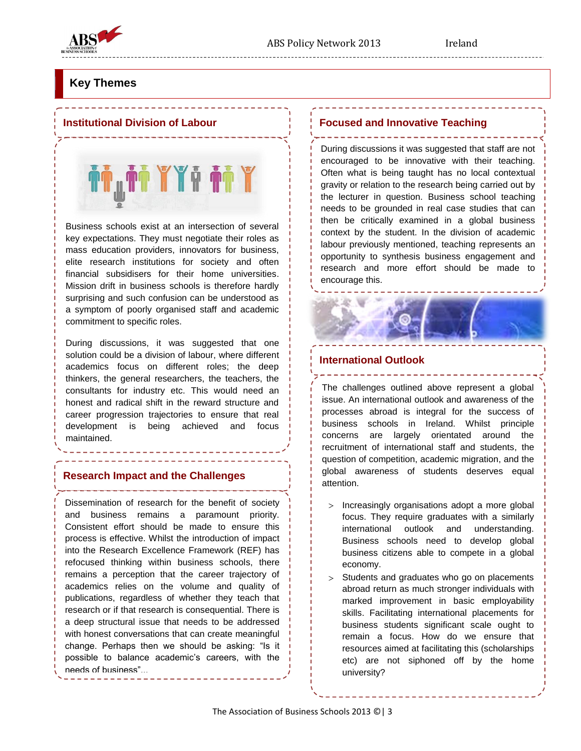

## **Key Themes**

#### **Institutional Division of Labour**

i<sub>u</sub>ii YYi ii Y

Business schools exist at an intersection of several key expectations. They must negotiate their roles as mass education providers, innovators for business, elite research institutions for society and often financial subsidisers for their home universities. Mission drift in business schools is therefore hardly surprising and such confusion can be understood as a symptom of poorly organised staff and academic commitment to specific roles.

During discussions, it was suggested that one solution could be a division of labour, where different academics focus on different roles; the deep thinkers, the general researchers, the teachers, the consultants for industry etc. This would need an honest and radical shift in the reward structure and career progression trajectories to ensure that real development is being achieved and focus maintained.

### **Research Impact and the Challenges**

Dissemination of research for the benefit of society and business remains a paramount priority. Consistent effort should be made to ensure this process is effective. Whilst the introduction of impact into the Research Excellence Framework (REF) has refocused thinking within business schools, there remains a perception that the career trajectory of academics relies on the volume and quality of publications, regardless of whether they teach that research or if that research is consequential. There is a deep structural issue that needs to be addressed with honest conversations that can create meaningful change. Perhaps then we should be asking: "Is it possible to balance academic's careers, with the needs of business"...

#### **Focused and Innovative Teaching**

During discussions it was suggested that staff are not encouraged to be innovative with their teaching. Often what is being taught has no local contextual gravity or relation to the research being carried out by the lecturer in question. Business school teaching needs to be grounded in real case studies that can then be critically examined in a global business context by the student. In the division of academic labour previously mentioned, teaching represents an opportunity to synthesis business engagement and research and more effort should be made to encourage this.

-----------------------

#### **International Outlook**

The challenges outlined above represent a global issue. An international outlook and awareness of the processes abroad is integral for the success of business schools in Ireland. Whilst principle concerns are largely orientated around the recruitment of international staff and students, the question of competition, academic migration, and the global awareness of students deserves equal attention.

--------

- $>$  Increasingly organisations adopt a more global focus. They require graduates with a similarly international outlook and understanding. Business schools need to develop global business citizens able to compete in a global economy.
- $>$  Students and graduates who go on placements abroad return as much stronger individuals with marked improvement in basic employability skills. Facilitating international placements for business students significant scale ought to remain a focus. How do we ensure that resources aimed at facilitating this (scholarships etc) are not siphoned off by the home university?